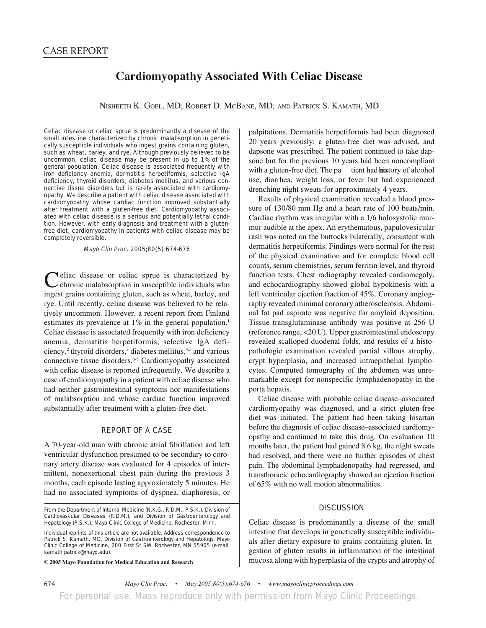## **Cardiomyopathy Associated With Celiac Disease**

NISHEETH K. GOEL, MD; ROBERT D. MCBANE, MD; AND PATRICK S. KAMATH, MD

Celiac disease or celiac sprue is predominantly a disease of the small intestine characterized by chronic malabsorption in genetically susceptible individuals who ingest grains containing gluten, such as wheat, barley, and rye. Although previously believed to be uncommon, celiac disease may be present in up to 1% of the general population. Celiac disease is associated frequently with iron deficiency anemia, dermatitis herpetiformis, selective IgA deficiency, thyroid disorders, diabetes mellitus, and various connective tissue disorders but is rarely associated with cardiomyopathy. We describe a patient with celiac disease associated with cardiomyopathy whose cardiac function improved substantially after treatment with a gluten-free diet. Cardiomyopathy associated with celiac disease is a serious and potentially lethal condition. However, with early diagnosis and treatment with a glutenfree diet, cardiomyopathy in patients with celiac disease may be completely reversible.

Mayo Clin Proc. 2005;80(5):674-676

**Neliac** disease or celiac sprue is characterized by chronic malabsorption in susceptible individuals who ingest grains containing gluten, such as wheat, barley, and rye. Until recently, celiac disease was believed to be relatively uncommon. However, a recent report from Finland estimates its prevalence at  $1\%$  in the general population.<sup>1</sup> Celiac disease is associated frequently with iron deficiency anemia, dermatitis herpetiformis, selective IgA deficiency,<sup>2</sup> thyroid disorders,<sup>3</sup> diabetes mellitus,<sup>4,5</sup> and various connective tissue disorders.6-8 Cardiomyopathy associated with celiac disease is reported infrequently. We describe a case of cardiomyopathy in a patient with celiac disease who had neither gastrointestinal symptoms nor manifestations of malabsorption and whose cardiac function improved substantially after treatment with a gluten-free diet.

## REPORT OF A CASE

A 70-year-old man with chronic atrial fibrillation and left ventricular dysfunction presumed to be secondary to coronary artery disease was evaluated for 4 episodes of intermittent, nonexertional chest pain during the previous 3 months, each episode lasting approximately 5 minutes. He had no associated symptoms of dyspnea, diaphoresis, or

From the Department of Internal Medicine (N.K.G., R.D.M., P.S.K.), Division of Cardiovascular Diseases (R.D.M.), and Division of Gastroenterology and Hepatology (P.S.K.), Mayo Clinic College of Medicine, Rochester, Minn.

Individual reprints of this article are not available. Address correspondence to Patrick S. Kamath, MD, Division of Gastroenterology and Hepatology, Mayo Clinic College of Medicine, 200 First St SW, Rochester, MN 55905 (e-mail: kamath.patrick@mayo.edu).

**© 2005 Mayo Foundation for Medical Education and Research**

palpitations. Dermatitis herpetiformis had been diagnosed 20 years previously; a gluten-free diet was advised, and dapsone was prescribed. The patient continued to take dapsone but for the previous 10 years had been noncompliant with a gluten-free diet. The pa tient had history of alcohol use, diarrhea, weight loss, or fever but had experienced drenching night sweats for approximately 4 years.

Results of physical examination revealed a blood pressure of 130/80 mm Hg and a heart rate of 100 beats/min. Cardiac rhythm was irregular with a 1/6 holosystolic murmur audible at the apex. An erythematous, papulovesicular rash was noted on the buttocks bilaterally, consistent with dermatitis herpetiformis. Findings were normal for the rest of the physical examination and for complete blood cell counts, serum chemistries, serum ferritin level, and thyroid function tests. Chest radiography revealed cardiomegaly, and echocardiography showed global hypokinesis with a left ventricular ejection fraction of 45%. Coronary angiography revealed minimal coronary atherosclerosis. Abdominal fat pad aspirate was negative for amyloid deposition. Tissue transglutaminase antibody was positive at 256 U (reference range, <20 U). Upper gastrointestinal endoscopy revealed scalloped duodenal folds, and results of a histopathologic examination revealed partial villous atrophy, crypt hyperplasia, and increased intraepithelial lymphocytes. Computed tomography of the abdomen was unremarkable except for nonspecific lymphadenopathy in the porta hepatis.

Celiac disease with probable celiac disease–associated cardiomyopathy was diagnosed, and a strict gluten-free diet was initiated. The patient had been taking losartan before the diagnosis of celiac disease–associated cardiomyopathy and continued to take this drug. On evaluation 10 months later, the patient had gained 8.6 kg, the night sweats had resolved, and there were no further episodes of chest pain. The abdominal lymphadenopathy had regressed, and transthoracic echocardiography showed an ejection fraction of 65% with no wall motion abnormalities.

## **DISCUSSION**

Celiac disease is predominantly a disease of the small intestine that develops in genetically susceptible individuals after dietary exposure to grains containing gluten. Ingestion of gluten results in inflammation of the intestinal mucosa along with hyperplasia of the crypts and atrophy of

674 *Mayo Clin Proc. • May 2005;80(5):674-676 • www.mayoclinicproceedings.com* For personal use. Mass reproduce only with permission from *Mayo Clinic Proceedings.*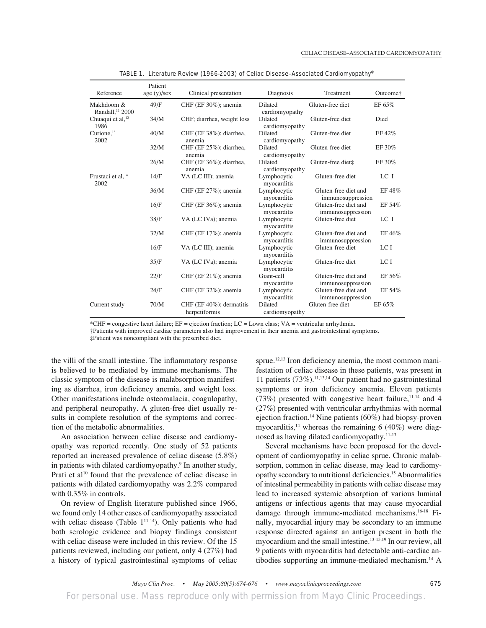| Reference                                 | Patient<br>age(y)/sex | Clinical presentation                         | Diagnosis                        | Treatment                                 | Outcome† |
|-------------------------------------------|-----------------------|-----------------------------------------------|----------------------------------|-------------------------------------------|----------|
| Makhdoom &<br>Randall. <sup>11</sup> 2000 | 49/F                  | CHF (EF $30\%$ ); anemia                      | <b>Dilated</b><br>cardiomyopathy | Gluten-free diet                          | EF 65%   |
| Chuaqui et al, <sup>12</sup><br>1986      | 34/M                  | CHF; diarrhea, weight loss                    | <b>Dilated</b><br>cardiomyopathy | Gluten-free diet                          | Died     |
| Curione, $^{13}$<br>2002                  | 40/M                  | CHF (EF 38%); diarrhea,<br>anemia             | <b>Dilated</b><br>cardiomyopathy | Gluten-free diet                          | EF 42%   |
|                                           | 32/M                  | CHF (EF 25%); diarrhea,<br>anemia             | <b>Dilated</b><br>cardiomyopathy | Gluten-free diet                          | EF 30%   |
|                                           | 26/M                  | CHF (EF 36%); diarrhea,<br>anemia             | <b>Dilated</b><br>cardiomyopathy | Gluten-free diet‡                         | EF 30%   |
| Frustaci et al, <sup>14</sup><br>2002     | 14/F                  | VA (LC III); anemia                           | Lymphocytic<br>myocarditis       | Gluten-free diet                          | LC I     |
|                                           | 36/M                  | CHF (EF $27\%$ ); anemia                      | Lymphocytic<br>myocarditis       | Gluten-free diet and<br>immunosuppression | EF 48%   |
|                                           | 16/F                  | CHF (EF $36\%$ ); anemia                      | Lymphocytic<br>myocarditis       | Gluten-free diet and<br>immunosuppression | EF 54%   |
|                                           | 38/F                  | VA (LC IVa); anemia                           | Lymphocytic<br>myocarditis       | Gluten-free diet                          | LC I     |
|                                           | 32/M                  | CHF (EF 17%); anemia                          | Lymphocytic<br>myocarditis       | Gluten-free diet and<br>immunosuppression | EF 46%   |
|                                           | 16/F                  | VA (LC III); anemia                           | Lymphocytic<br>myocarditis       | Gluten-free diet                          | LCI      |
|                                           | 35/F                  | VA (LC IVa); anemia                           | Lymphocytic<br>myocarditis       | Gluten-free diet                          | LCI      |
|                                           | 22/F                  | CHF (EF $21\%$ ); anemia                      | Giant-cell<br>myocarditis        | Gluten-free diet and<br>immunosuppression | EF 56%   |
|                                           | 24/F                  | CHF (EF $32\%$ ); anemia                      | Lymphocytic<br>myocarditis       | Gluten-free diet and<br>immunosuppression | EF 54%   |
| Current study                             | 70/M                  | CHF (EF $40\%$ ); dermatitis<br>herpetiformis | Dilated<br>cardiomyopathy        | Gluten-free diet                          | EF 65%   |

TABLE 1. Literature Review (1966-2003) of Celiac Disease–Associated Cardiomyopathy\*

\*CHF = congestive heart failure; EF = ejection fraction; LC = Lown class; VA = ventricular arrhythmia.

†Patients with improved cardiac parameters also had improvement in their anemia and gastrointestinal symptoms.

‡Patient was noncompliant with the prescribed diet.

the villi of the small intestine. The inflammatory response is believed to be mediated by immune mechanisms. The classic symptom of the disease is malabsorption manifesting as diarrhea, iron deficiency anemia, and weight loss. Other manifestations include osteomalacia, coagulopathy, and peripheral neuropathy. A gluten-free diet usually results in complete resolution of the symptoms and correction of the metabolic abnormalities.

An association between celiac disease and cardiomyopathy was reported recently. One study of 52 patients reported an increased prevalence of celiac disease (5.8%) in patients with dilated cardiomyopathy.<sup>9</sup> In another study, Prati et al<sup>10</sup> found that the prevalence of celiac disease in patients with dilated cardiomyopathy was 2.2% compared with 0.35% in controls.

On review of English literature published since 1966, we found only 14 other cases of cardiomyopathy associated with celiac disease (Table  $1^{11-14}$ ). Only patients who had both serologic evidence and biopsy findings consistent with celiac disease were included in this review. Of the 15 patients reviewed, including our patient, only 4 (27%) had a history of typical gastrointestinal symptoms of celiac sprue.<sup>12,13</sup> Iron deficiency anemia, the most common manifestation of celiac disease in these patients, was present in 11 patients (73%).11,13,14 Our patient had no gastrointestinal symptoms or iron deficiency anemia. Eleven patients (73%) presented with congestive heart failure,  $11-14$  and 4 (27%) presented with ventricular arrhythmias with normal ejection fraction.<sup>14</sup> Nine patients  $(60\%)$  had biopsy-proven myocarditis,<sup>14</sup> whereas the remaining 6 (40%) were diagnosed as having dilated cardiomyopathy.11-13

Several mechanisms have been proposed for the development of cardiomyopathy in celiac sprue. Chronic malabsorption, common in celiac disease, may lead to cardiomyopathy secondary to nutritional deficiencies.15 Abnormalities of intestinal permeability in patients with celiac disease may lead to increased systemic absorption of various luminal antigens or infectious agents that may cause myocardial damage through immune-mediated mechanisms.16-18 Finally, myocardial injury may be secondary to an immune response directed against an antigen present in both the myocardium and the small intestine.13-15,19 In our review, all 9 patients with myocarditis had detectable anti-cardiac antibodies supporting an immune-mediated mechanism.14 A